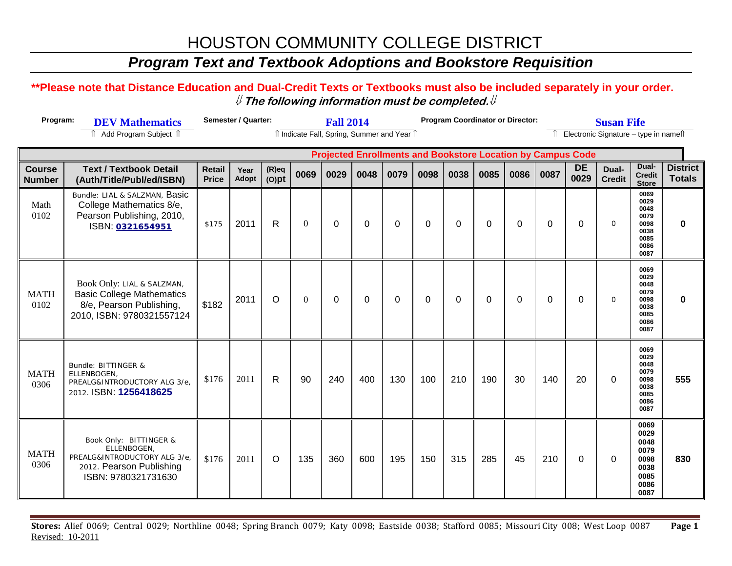# HOUSTON COMMUNITY COLLEGE DISTRICT

### *Program Text and Textbook Adoptions and Bookstore Requisition*

### **\*\*Please note that Distance Education and Dual-Credit Texts or Textbooks must also be included separately in your order.**  ⇓ **The following information must be completed.**⇓

| Program:<br><b>DEV Mathematics</b> |                                                                                                                         | <b>Semester / Quarter:</b><br><b>Fall 2014</b> |               |                      |          |             |             |             | <b>Program Coordinator or Director:</b> |             |          | <b>Susan Fife</b>                          |             |                                                                    |                        |                                                                      |                              |
|------------------------------------|-------------------------------------------------------------------------------------------------------------------------|------------------------------------------------|---------------|----------------------|----------|-------------|-------------|-------------|-----------------------------------------|-------------|----------|--------------------------------------------|-------------|--------------------------------------------------------------------|------------------------|----------------------------------------------------------------------|------------------------------|
|                                    | ↑ Add Program Subject ↑                                                                                                 | îl Indicate Fall, Spring, Summer and Year îl   |               |                      |          |             |             |             |                                         |             |          | Electronic Signature - type in namell<br>⇑ |             |                                                                    |                        |                                                                      |                              |
|                                    |                                                                                                                         |                                                |               |                      |          |             |             |             |                                         |             |          |                                            |             | <b>Projected Enrollments and Bookstore Location by Campus Code</b> |                        |                                                                      |                              |
| <b>Course</b><br><b>Number</b>     | <b>Text / Textbook Detail</b><br>(Auth/Title/Publ/ed/ISBN)                                                              | <b>Retail</b><br><b>Price</b>                  | Year<br>Adopt | $(R)$ eq<br>$(O)$ pt | 0069     | 0029        | 0048        | 0079        | 0098                                    | 0038        | 0085     | 0086                                       | 0087        | <b>DE</b><br>0029                                                  | Dual-<br><b>Credit</b> | Dual-<br><b>Credit</b><br><b>Store</b>                               | District   <br><b>Totals</b> |
| Math<br>0102                       | Bundle: LIAL & SALZMAN, Basic<br>College Mathematics 8/e,<br>Pearson Publishing, 2010,<br>ISBN: 0321654951              | \$175                                          | 2011          | R                    | $\Omega$ | $\mathbf 0$ | $\mathbf 0$ | $\mathbf 0$ | $\mathbf 0$                             | $\mathbf 0$ | $\Omega$ | $\mathbf 0$                                | $\mathbf 0$ | $\mathbf 0$                                                        | $\Omega$               | 0069<br>0029<br>0048<br>0079<br>0098<br>0038<br>0085<br>0086<br>0087 | $\bf{0}$                     |
| <b>MATH</b><br>0102                | Book Only: LIAL & SALZMAN,<br><b>Basic College Mathematics</b><br>8/e, Pearson Publishing,<br>2010, ISBN: 9780321557124 | \$182                                          | 2011          | $\circ$              | $\theta$ | $\Omega$    | $\Omega$    | $\Omega$    | $\Omega$                                | 0           | $\Omega$ | $\Omega$                                   | $\Omega$    | $\Omega$                                                           | $\mathbf 0$            | 0069<br>0029<br>0048<br>0079<br>0098<br>0038<br>0085<br>0086<br>0087 | $\bf{0}$                     |
| <b>MATH</b><br>0306                | Bundle: BITTINGER &<br>ELLENBOGEN.<br>PREALG&INTRODUCTORY ALG 3/e,<br>2012. ISBN: 1256418625                            | \$176                                          | 2011          | $\mathsf{R}$         | 90       | 240         | 400         | 130         | 100                                     | 210         | 190      | 30                                         | 140         | 20                                                                 | $\mathbf 0$            | 0069<br>0029<br>0048<br>0079<br>0098<br>0038<br>0085<br>0086<br>0087 | 555                          |
| <b>MATH</b><br>0306                | Book Only: BITTINGER &<br>ELLENBOGEN.<br>PREALG&INTRODUCTORY ALG 3/e<br>2012. Pearson Publishing<br>ISBN: 9780321731630 | \$176                                          | 2011          | $\circ$              | 135      | 360         | 600         | 195         | 150                                     | 315         | 285      | 45                                         | 210         | $\mathbf 0$                                                        | $\Omega$               | 0069<br>0029<br>0048<br>0079<br>0098<br>0038<br>0085<br>0086<br>0087 | 830                          |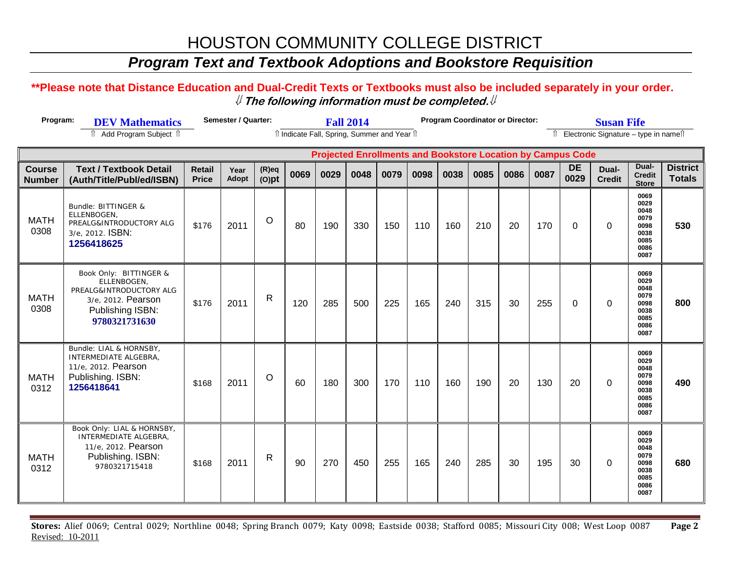# HOUSTON COMMUNITY COLLEGE DISTRICT

### *Program Text and Textbook Adoptions and Bookstore Requisition*

### **\*\*Please note that Distance Education and Dual-Credit Texts or Textbooks must also be included separately in your order.**  ⇓ **The following information must be completed.**⇓

| Program:<br><b>DEV Mathematics</b> |                                                                                                                             | <b>Semester / Quarter:</b>    |               |                                              | <b>Fall 2014</b> |      |      |      |      |      | <b>Program Coordinator or Director:</b> |      |                                                                    | <b>Susan Fife</b> |                        |                                                                      |                                  |  |  |  |
|------------------------------------|-----------------------------------------------------------------------------------------------------------------------------|-------------------------------|---------------|----------------------------------------------|------------------|------|------|------|------|------|-----------------------------------------|------|--------------------------------------------------------------------|-------------------|------------------------|----------------------------------------------------------------------|----------------------------------|--|--|--|
| ↑ Add Program Subject ↑            |                                                                                                                             |                               |               | îl Indicate Fall, Spring, Summer and Year îl |                  |      |      |      |      |      |                                         |      |                                                                    |                   |                        | Îl Electronic Signature - type in namest                             |                                  |  |  |  |
|                                    |                                                                                                                             |                               |               |                                              |                  |      |      |      |      |      |                                         |      | <b>Projected Enrollments and Bookstore Location by Campus Code</b> |                   |                        |                                                                      |                                  |  |  |  |
| <b>Course</b><br><b>Number</b>     | <b>Text / Textbook Detail</b><br>(Auth/Title/Publ/ed/ISBN)                                                                  | <b>Retail</b><br><b>Price</b> | Year<br>Adopt | $(R)$ eq<br>$(O)$ pt                         | 0069             | 0029 | 0048 | 0079 | 0098 | 0038 | 0085                                    | 0086 | 0087                                                               | <b>DE</b><br>0029 | Dual-<br><b>Credit</b> | Dual-<br><b>Credit</b><br><b>Store</b>                               | <b>District</b><br><b>Totals</b> |  |  |  |
| <b>MATH</b><br>0308                | Bundle: BITTINGER &<br>ELLENBOGEN.<br>PREALG&INTRODUCTORY ALG<br>3/e, 2012. ISBN:<br>1256418625                             | \$176                         | 2011          | $\circ$                                      | 80               | 190  | 330  | 150  | 110  | 160  | 210                                     | 20   | 170                                                                | $\Omega$          | 0                      | 0069<br>0029<br>0048<br>0079<br>0098<br>0038<br>0085<br>0086<br>0087 | 530                              |  |  |  |
| <b>MATH</b><br>0308                | Book Only: BITTINGER &<br>ELLENBOGEN,<br>PREALG&INTRODUCTORY ALG<br>3/e, 2012. Pearson<br>Publishing ISBN:<br>9780321731630 | \$176                         | 2011          | $\mathsf{R}$                                 | 120              | 285  | 500  | 225  | 165  | 240  | 315                                     | 30   | 255                                                                | $\mathbf 0$       | $\mathbf 0$            | 0069<br>0029<br>0048<br>0079<br>0098<br>0038<br>0085<br>0086<br>0087 | 800                              |  |  |  |
| <b>MATH</b><br>0312                | Bundle: LIAL & HORNSBY,<br>INTERMEDIATE ALGEBRA,<br>11/e, 2012. Pearson<br>Publishing. ISBN:<br>1256418641                  | \$168                         | 2011          | $\circ$                                      | 60               | 180  | 300  | 170  | 110  | 160  | 190                                     | 20   | 130                                                                | 20                | $\mathbf 0$            | 0069<br>0029<br>0048<br>0079<br>0098<br>0038<br>0085<br>0086<br>0087 | 490                              |  |  |  |
| <b>MATH</b><br>0312                | Book Only: LIAL & HORNSBY,<br>INTERMEDIATE ALGEBRA,<br>11/e, 2012. Pearson<br>Publishing. ISBN:<br>9780321715418            | \$168                         | 2011          | $\mathsf{R}$                                 | 90               | 270  | 450  | 255  | 165  | 240  | 285                                     | 30   | 195                                                                | 30                | $\mathbf 0$            | 0069<br>0029<br>0048<br>0079<br>0098<br>0038<br>0085<br>0086<br>0087 | 680                              |  |  |  |

**Stores:** Alief 0069; Central 0029; Northline 0048; Spring Branch 0079; Katy 0098; Eastside 0038; Stafford 0085; Missouri City 008; West Loop 0087 **Page 2** Revised: 10-2011